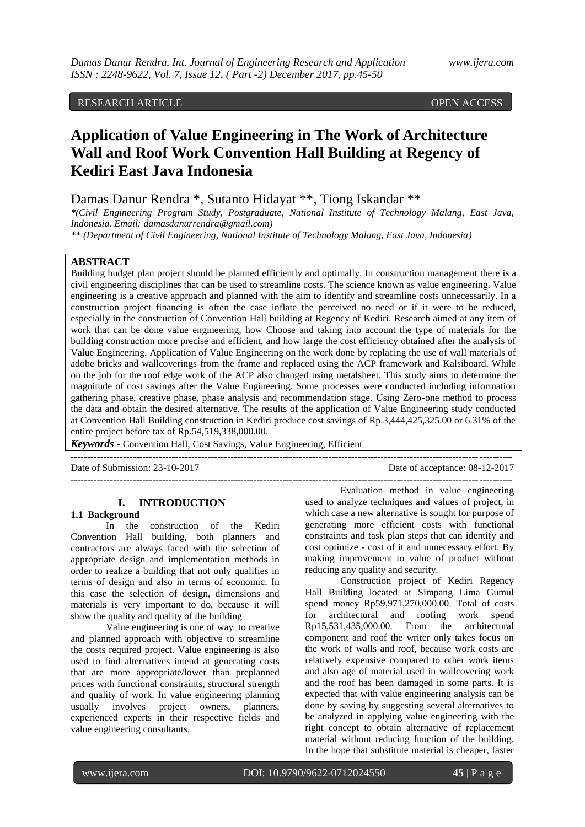RESEARCH ARTICLE **CONTRACT ARTICLE** 

# **Application of Value Engineering in The Work of Architecture Wall and Roof Work Convention Hall Building at Regency of Kediri East Java Indonesia**

# Damas Danur Rendra \*, Sutanto Hidayat \*\*, Tiong Iskandar \*\*

*\*(Civil Engineering Program Study, Postgraduate, National Institute of Technology Malang, East Java, Indonesia. Email: damasdanurrendra@gmail.com)*

*\*\* (Department of Civil Engineering, National Institute of Technology Malang, East Java, Indonesia)*

## **ABSTRACT**

Building budget plan project should be planned efficiently and optimally. In construction management there is a civil engineering disciplines that can be used to streamline costs. The science known as value engineering. Value engineering is a creative approach and planned with the aim to identify and streamline costs unnecessarily. In a construction project financing is often the case inflate the perceived no need or if it were to be reduced, especially in the construction of Convention Hall building at Regency of Kediri. Research aimed at any item of work that can be done value engineering, how Choose and taking into account the type of materials for the building construction more precise and efficient, and how large the cost efficiency obtained after the analysis of Value Engineering. Application of Value Engineering on the work done by replacing the use of wall materials of adobe bricks and wallcoverings from the frame and replaced using the ACP framework and Kalsiboard. While on the job for the roof edge work of the ACP also changed using metalsheet. This study aims to determine the magnitude of cost savings after the Value Engineering. Some processes were conducted including information gathering phase, creative phase, phase analysis and recommendation stage. Using Zero-one method to process the data and obtain the desired alternative. The results of the application of Value Engineering study conducted at Convention Hall Building construction in Kediri produce cost savings of Rp.3,444,425,325.00 or 6.31% of the entire project before tax of Rp.54,519,338,000.00.

**---------------------------------------------------------------------------------------------------------------------------------------**

**---------------------------------------------------------------------------------------------------------------------------------------**

*Keywords* **-** Convention Hall, Cost Savings, Value Engineering, Efficient

Date of Submission: 23-10-2017 Date of acceptance: 08-12-2017

## **I. INTRODUCTION**

## **1.1 Background**

In the construction of the Kediri Convention Hall building, both planners and contractors are always faced with the selection of appropriate design and implementation methods in order to realize a building that not only qualifies in terms of design and also in terms of economic. In this case the selection of design, dimensions and materials is very important to do, because it will show the quality and quality of the building

Value engineering is one of way to creative and planned approach with objective to streamline the costs required project. Value engineering is also used to find alternatives intend at generating costs that are more appropriate/lower than preplanned prices with functional constraints, structural strength and quality of work. In value engineering planning usually involves project owners, planners, experienced experts in their respective fields and value engineering consultants.

Evaluation method in value engineering used to analyze techniques and values of project, in which case a new alternative is sought for purpose of generating more efficient costs with functional constraints and task plan steps that can identify and cost optimize - cost of it and unnecessary effort. By making improvement to value of product without reducing any quality and security.

Construction project of Kediri Regency Hall Building located at Simpang Lima Gumul spend money Rp59,971,270,000.00. Total of costs for architectural and roofing work spend Rp15,531,435,000.00. From the architectural component and roof the writer only takes focus on the work of walls and roof, because work costs are relatively expensive compared to other work items and also age of material used in wallcovering work and the roof has been damaged in some parts. It is expected that with value engineering analysis can be done by saving by suggesting several alternatives to be analyzed in applying value engineering with the right concept to obtain alternative of replacement material without reducing function of the building. In the hope that substitute material is cheaper, faster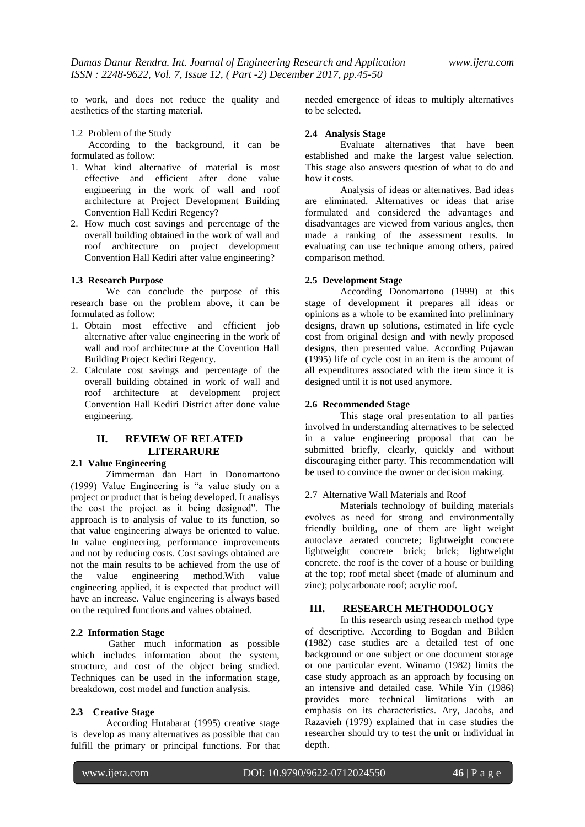to work, and does not reduce the quality and aesthetics of the starting material.

1.2 Problem of the Study

According to the background, it can be formulated as follow:

- 1. What kind alternative of material is most effective and efficient after done value engineering in the work of wall and roof architecture at Project Development Building Convention Hall Kediri Regency?
- 2. How much cost savings and percentage of the overall building obtained in the work of wall and roof architecture on project development Convention Hall Kediri after value engineering?

## **1.3 Research Purpose**

We can conclude the purpose of this research base on the problem above, it can be formulated as follow:

- 1. Obtain most effective and efficient job alternative after value engineering in the work of wall and roof architecture at the Covention Hall Building Project Kediri Regency.
- 2. Calculate cost savings and percentage of the overall building obtained in work of wall and roof architecture at development project Convention Hall Kediri District after done value engineering.

# **II. REVIEW OF RELATED LITERARURE**

# **2.1 Value Engineering**

Zimmerman dan Hart in Donomartono (1999) Value Engineering is "a value study on a project or product that is being developed. It analisys the cost the project as it being designed". The approach is to analysis of value to its function, so that value engineering always be oriented to value. In value engineering, performance improvements and not by reducing costs. Cost savings obtained are not the main results to be achieved from the use of the value engineering method.With value engineering applied, it is expected that product will have an increase. Value engineering is always based on the required functions and values obtained.

#### **2.2 Information Stage**

Gather much information as possible which includes information about the system, structure, and cost of the object being studied. Techniques can be used in the information stage, breakdown, cost model and function analysis.

#### **2.3 Creative Stage**

According Hutabarat (1995) creative stage is develop as many alternatives as possible that can fulfill the primary or principal functions. For that needed emergence of ideas to multiply alternatives to be selected.

## **2.4 Analysis Stage**

Evaluate alternatives that have been established and make the largest value selection. This stage also answers question of what to do and how it costs.

Analysis of ideas or alternatives. Bad ideas are eliminated. Alternatives or ideas that arise formulated and considered the advantages and disadvantages are viewed from various angles, then made a ranking of the assessment results. In evaluating can use technique among others, paired comparison method.

## **2.5 Development Stage**

According Donomartono (1999) at this stage of development it prepares all ideas or opinions as a whole to be examined into preliminary designs, drawn up solutions, estimated in life cycle cost from original design and with newly proposed designs, then presented value. According Pujawan (1995) life of cycle cost in an item is the amount of all expenditures associated with the item since it is designed until it is not used anymore.

## **2.6 Recommended Stage**

This stage oral presentation to all parties involved in understanding alternatives to be selected in a value engineering proposal that can be submitted briefly, clearly, quickly and without discouraging either party. This recommendation will be used to convince the owner or decision making.

## 2.7 Alternative Wall Materials and Roof

Materials technology of building materials evolves as need for strong and environmentally friendly building, one of them are light weight autoclave aerated concrete; lightweight concrete lightweight concrete brick; brick; lightweight concrete. the roof is the cover of a house or building at the top; roof metal sheet (made of aluminum and zinc); polycarbonate roof; acrylic roof.

## **III. RESEARCH METHODOLOGY**

In this research using research method type of descriptive. According to Bogdan and Biklen (1982) case studies are a detailed test of one background or one subject or one document storage or one particular event. Winarno (1982) limits the case study approach as an approach by focusing on an intensive and detailed case. While Yin (1986) provides more technical limitations with an emphasis on its characteristics. Ary, Jacobs, and Razavieh (1979) explained that in case studies the researcher should try to test the unit or individual in depth.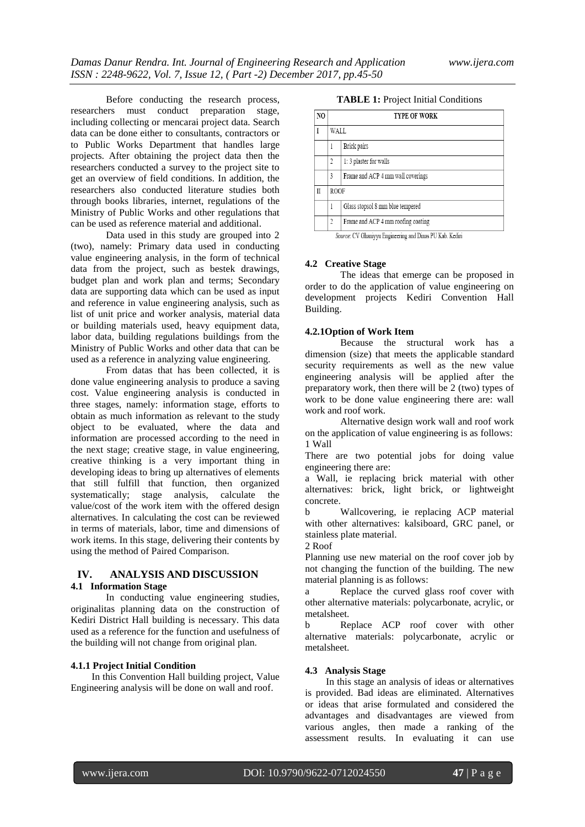Before conducting the research process, researchers must conduct preparation stage, including collecting or mencarai project data. Search data can be done either to consultants, contractors or to Public Works Department that handles large projects. After obtaining the project data then the researchers conducted a survey to the project site to get an overview of field conditions. In addition, the researchers also conducted literature studies both through books libraries, internet, regulations of the Ministry of Public Works and other regulations that can be used as reference material and additional.

Data used in this study are grouped into 2 (two), namely: Primary data used in conducting value engineering analysis, in the form of technical data from the project, such as bestek drawings, budget plan and work plan and terms; Secondary data are supporting data which can be used as input and reference in value engineering analysis, such as list of unit price and worker analysis, material data or building materials used, heavy equipment data, labor data, building regulations buildings from the Ministry of Public Works and other data that can be used as a reference in analyzing value engineering.

From datas that has been collected, it is done value engineering analysis to produce a saving cost. Value engineering analysis is conducted in three stages, namely: information stage, efforts to obtain as much information as relevant to the study object to be evaluated, where the data and information are processed according to the need in the next stage; creative stage, in value engineering, creative thinking is a very important thing in developing ideas to bring up alternatives of elements that still fulfill that function, then organized systematically; stage analysis, calculate the value/cost of the work item with the offered design alternatives. In calculating the cost can be reviewed in terms of materials, labor, time and dimensions of work items. In this stage, delivering their contents by using the method of Paired Comparison.

## **IV. ANALYSIS AND DISCUSSION 4.1 Information Stage**

In conducting value engineering studies, originalitas planning data on the construction of Kediri District Hall building is necessary. This data used as a reference for the function and usefulness of the building will not change from original plan.

## **4.1.1 Project Initial Condition**

In this Convention Hall building project, Value Engineering analysis will be done on wall and roof.

## **TABLE 1:** Project Initial Conditions

| NO |                                          | <b>TYPE OF WORK</b>                |  |  |  |  |  |
|----|------------------------------------------|------------------------------------|--|--|--|--|--|
|    |                                          | WALL.                              |  |  |  |  |  |
|    |                                          | Brick pairs                        |  |  |  |  |  |
|    | 1: 3 plaster for walls<br>$\overline{2}$ |                                    |  |  |  |  |  |
|    | 3                                        | Frame and ACP 4 mm wall coverings  |  |  |  |  |  |
| II | <b>ROOF</b>                              |                                    |  |  |  |  |  |
|    | 1                                        | Glass stopsol 8 mm blue tempered   |  |  |  |  |  |
|    | $\gamma$                                 | Frame and ACP 4 mm roofing coating |  |  |  |  |  |

Source: CV Ghaniyyu Engineering and Dinas PU Kab. Kediri

## **4.2 Creative Stage**

The ideas that emerge can be proposed in order to do the application of value engineering on development projects Kediri Convention Hall Building.

## **4.2.1Option of Work Item**

Because the structural work has a dimension (size) that meets the applicable standard security requirements as well as the new value engineering analysis will be applied after the preparatory work, then there will be 2 (two) types of work to be done value engineering there are: wall work and roof work.

Alternative design work wall and roof work on the application of value engineering is as follows: 1 Wall

There are two potential jobs for doing value engineering there are:

a Wall, ie replacing brick material with other alternatives: brick, light brick, or lightweight concrete.

b Wallcovering, ie replacing ACP material with other alternatives: kalsiboard, GRC panel, or stainless plate material.

2 Roof

Planning use new material on the roof cover job by not changing the function of the building. The new material planning is as follows:

a Replace the curved glass roof cover with other alternative materials: polycarbonate, acrylic, or metalsheet.

b Replace ACP roof cover with other alternative materials: polycarbonate, acrylic or metalsheet.

## **4.3 Analysis Stage**

In this stage an analysis of ideas or alternatives is provided. Bad ideas are eliminated. Alternatives or ideas that arise formulated and considered the advantages and disadvantages are viewed from various angles, then made a ranking of the assessment results. In evaluating it can use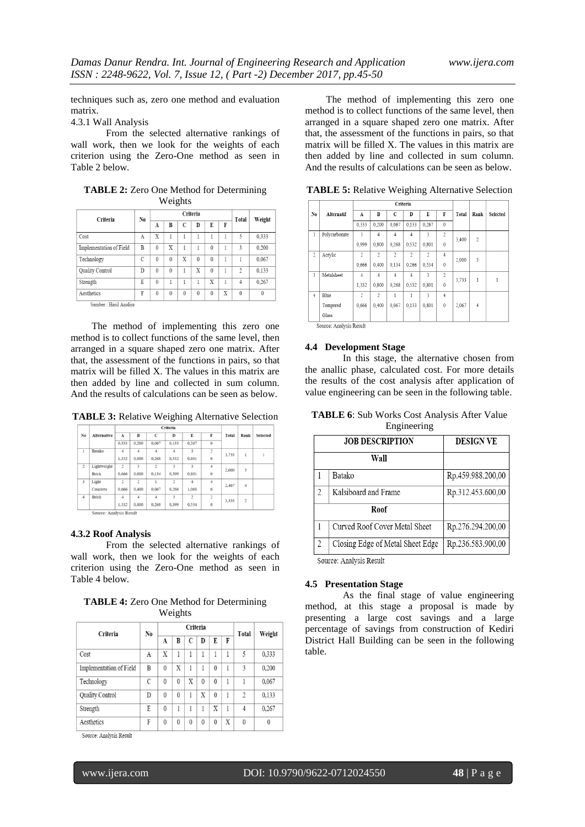techniques such as, zero one method and evaluation matrix.

4.3.1 Wall Analysis

From the selected alternative rankings of wall work, then we look for the weights of each criterion using the Zero-One method as seen in Table 2 below.

**TABLE 2:** Zero One Method for Determining Weights

| Criteria                | No.           | Criteria |          |          |          |          | Total | Weight         |          |
|-------------------------|---------------|----------|----------|----------|----------|----------|-------|----------------|----------|
|                         |               | A        | B        | C        | D        | E        | F     |                |          |
| Cost                    | $\mathbf{A}$  | X        |          |          |          |          |       | 5              | 0,333    |
| Implementation of Field | B             | $\theta$ | X        |          |          | $\theta$ |       | 3              | 0.200    |
| Technology              | $\mathcal{C}$ | $\theta$ | $\theta$ | X        | $\theta$ | $\theta$ | 1     |                | 0.067    |
| Quality Control         | D             | $\theta$ | $\theta$ |          | X        | $\theta$ |       | $\mathfrak{D}$ | 0.133    |
| Strength                | E             | $\theta$ |          |          |          | Χ        |       | 4              | 0.267    |
| Aesthetics              | F             | $\theta$ | $\theta$ | $\theta$ | $\theta$ | $\theta$ | X     | $\theta$       | $\theta$ |
| Sumber: Hasil Analisa   |               |          |          |          |          |          |       |                |          |

The method of implementing this zero one method is to collect functions of the same level, then arranged in a square shaped zero one matrix. After that, the assessment of the functions in pairs, so that matrix will be filled X. The values in this matrix are then added by line and collected in sum column. And the results of calculations can be seen as below.

**TABLE 3:** Relative Weighing Alternative Selection

|                |                         | Criteria       |                |                |                         |                         |                |       |                |                 |
|----------------|-------------------------|----------------|----------------|----------------|-------------------------|-------------------------|----------------|-------|----------------|-----------------|
| No             | <b>Alternative</b>      | $\mathbf{A}$   | B              | $\mathbf C$    | D                       | E                       | F              | Total | Rank           | <b>Selected</b> |
|                |                         | 0,333          | 0,200          | 0.067          | 0,133                   | 0.267                   | $\mathbf{0}$   |       |                |                 |
| $\mathbf{I}$   | Batako                  | $\overline{4}$ | $\overline{4}$ | $\overline{4}$ | $\boldsymbol{A}$        | $\overline{3}$          | $\overline{2}$ | 3,733 | 1              |                 |
|                |                         | 1,332          | 0,800          | 0.268          | 0.532                   | 0.801                   | $\bf{0}$       |       |                |                 |
| $\overline{c}$ | Lightweight             | $\overline{c}$ | 3              | $\overline{c}$ | $\overline{\mathbf{3}}$ | $\overline{\mathbf{3}}$ | $\overline{4}$ | 2,600 | 3              |                 |
|                | <b>Brick</b>            | 0,666          | 0,600          | 0.134          | 0.399                   | 0.801                   | $\mathbf 0$    |       |                |                 |
| $\overline{3}$ | Light                   | $\overline{c}$ | $\overline{c}$ |                | $\overline{c}$          | $\overline{4}$          | $\overline{4}$ | 2.467 | $\overline{4}$ |                 |
|                | Concrete                | 0,666          | 0,400          | 0,067          | 0.266                   | 1,068                   | $\bf{0}$       |       |                |                 |
| $\overline{4}$ | <b>Brick</b>            | $\Delta$       | $\overline{4}$ | $\overline{4}$ | $\overline{\mathbf{3}}$ | $\overline{c}$          | $\overline{2}$ |       |                |                 |
|                |                         | 1,332          | 0.800          | 0.268          | 0.399                   | 0.534                   | $\mathbf{0}$   | 3.333 | $\overline{a}$ |                 |
|                | Source: Analysis Result |                |                |                |                         |                         |                |       |                |                 |

#### **4.3.2 Roof Analysis**

From the selected alternative rankings of wall work, then we look for the weights of each criterion using the Zero-One method as seen in Table 4 below.

**TABLE 4:** Zero One Method for Determining Weights

| Criteria                | N0 | Criteria |          |          |          |          | Total | Weight         |          |
|-------------------------|----|----------|----------|----------|----------|----------|-------|----------------|----------|
|                         |    | A        | B        | C        | D        | E        | F     |                |          |
| Cost                    | A  | X        |          | 1        | 1        | 1        | 1     | 5              | 0,333    |
| Implementation of Field | B  | $\theta$ | X        | 1        |          | $\theta$ | 1     | 3              | 0.200    |
| Technology              | C  | $\theta$ | $\theta$ | X        | $\theta$ | $\theta$ | 1     |                | 0,067    |
| <b>Quality Control</b>  | D  | $\theta$ | $\theta$ | 1        | X        | $\theta$ | 1     | $\mathfrak{D}$ | 0,133    |
| Strength                | E  | $\theta$ |          | 1        | 1        | X        | 1     | 4              | 0.267    |
| Aesthetics              | F  | $\theta$ | $\theta$ | $\theta$ | $\theta$ | $\theta$ | X     | $\theta$       | $\theta$ |

Source: Analysis Result

The method of implementing this zero one method is to collect functions of the same level, then arranged in a square shaped zero one matrix. After that, the assessment of the functions in pairs, so that matrix will be filled X. The values in this matrix are then added by line and collected in sum column. And the results of calculations can be seen as below.

**TABLE 5:** Relative Weighing Alternative Selection

|                | Criteria      |                     |                          |                          |                           |                           |                |       |                |          |
|----------------|---------------|---------------------|--------------------------|--------------------------|---------------------------|---------------------------|----------------|-------|----------------|----------|
| No.            | Alternatif    | A                   | B                        | C                        | D                         | E                         | F              | Total | Rank           | Selected |
|                |               | 0,333               | 0.200                    | 0.067                    | 0,133                     | 0,267                     | $\mathbf{0}$   |       |                |          |
| $\mathbf{1}$   | Polycarbonate | $\ddot{\mathbf{3}}$ | $\overline{4}$           | $\overline{4}$           | 4                         | 3                         | $\overline{2}$ | 3,400 | $\overline{c}$ |          |
|                |               | 0.999               | 0.800                    | 0,268                    | 0,532                     | 0,801                     | $\mathbf{0}$   |       |                |          |
| $\overline{c}$ | Acrylic       | $\overline{c}$      | $\overline{\mathcal{L}}$ | $\overline{\mathcal{L}}$ | $\overline{\mathfrak{Z}}$ | $\overline{\mathfrak{Z}}$ | $\overline{4}$ | 2,000 | 3              |          |
|                |               | 0.666               | 0.400                    | 0.134                    | 0,266                     | 0,534                     | $\mathbf{0}$   |       |                |          |
| 3              | Metalsheet    | $\overline{4}$      | $\overline{4}$           | $\overline{4}$           | 4                         | 3                         | 2              |       | 1              |          |
|                |               | 1,332               | 0.800                    | 0.268                    | 0,532                     | 0,801                     | $\mathbf{0}$   | 3,733 |                |          |
| $\overline{4}$ | Blue          | $\overline{2}$      | $\overline{\mathcal{L}}$ | 1                        | 1                         | $\overline{\mathbf{3}}$   | $\overline{4}$ |       |                |          |
|                | Tempered      | 0,666               | 0.400                    | 0,067                    | 0,133                     | 0,801                     | $\mathbf{0}$   | 2,067 | $\overline{4}$ |          |
|                | Glass         |                     |                          |                          |                           |                           |                |       |                |          |

Source: Analysis Result

#### **4.4 Development Stage**

In this stage, the alternative chosen from the anallic phase, calculated cost. For more details the results of the cost analysis after application of value engineering can be seen in the following table.

| <b>TABLE 6:</b> Sub Works Cost Analysis After Value |  |
|-----------------------------------------------------|--|
| Engineering                                         |  |

|                | <b>JOB DESCRIPTION</b>           | <b>DESIGN VE</b>  |
|----------------|----------------------------------|-------------------|
|                | Wall                             |                   |
|                | Batako                           | Rp.459.988.200,00 |
| $\overline{2}$ | Kalsiboard and Frame             | Rp.312.453.600,00 |
|                | Roof                             |                   |
|                | Curved Roof Cover Metal Sheet    | Rp.276.294.200,00 |
| $\overline{2}$ | Closing Edge of Metal Sheet Edge | Rp.236.583.900,00 |
|                |                                  |                   |

Source: Analysis Result

## **4.5 Presentation Stage**

As the final stage of value engineering method, at this stage a proposal is made by presenting a large cost savings and a large percentage of savings from construction of Kediri District Hall Building can be seen in the following table.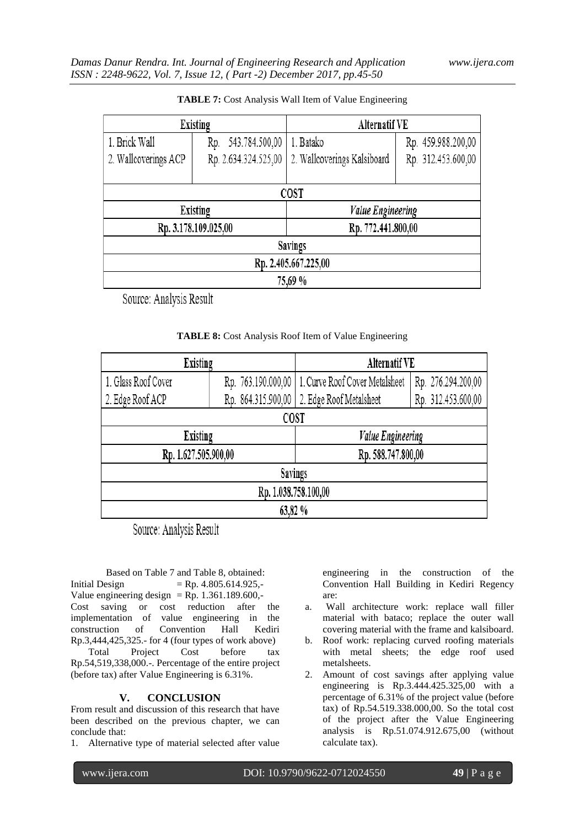|                      | Existing              | <b>Alternatif VE</b>        |                    |  |  |  |  |
|----------------------|-----------------------|-----------------------------|--------------------|--|--|--|--|
| 1. Brick Wall        | 543.784.500,00<br>Rp. | 1. Batako                   | Rp. 459.988.200,00 |  |  |  |  |
| 2. Wallcoverings ACP | Rp. 2.634.324.525,00  | 2. Wallcoverings Kalsiboard | Rp. 312.453.600,00 |  |  |  |  |
|                      |                       |                             |                    |  |  |  |  |
| <b>COST</b>          |                       |                             |                    |  |  |  |  |
|                      | Existing              | <b>Value Engineering</b>    |                    |  |  |  |  |
|                      | Rp. 3.178.109.025,00  | Rp. 772.441.800,00          |                    |  |  |  |  |
| <b>Savings</b>       |                       |                             |                    |  |  |  |  |
| Rp. 2.405.667.225,00 |                       |                             |                    |  |  |  |  |
| 75,69 %              |                       |                             |                    |  |  |  |  |

| TABLE 7: Cost Analysis Wall Item of Value Engineering |  |  |
|-------------------------------------------------------|--|--|
|-------------------------------------------------------|--|--|

Source: Analysis Result

| TABLE 8: Cost Analysis Roof Item of Value Engineering |  |  |
|-------------------------------------------------------|--|--|
|                                                       |  |  |

| Existing             |                    | Alternatif VE                                        |  |  |  |  |  |
|----------------------|--------------------|------------------------------------------------------|--|--|--|--|--|
| 1. Glass Roof Cover  | Rp. 763.190.000,00 | 1. Curve Roof Cover Metalsheet<br>Rp. 276.294.200,00 |  |  |  |  |  |
| 2. Edge Roof ACP     | Rp. 864.315.900,00 | Rp. 312.453.600,00<br>2. Edge Roof Metalsheet        |  |  |  |  |  |
| COST                 |                    |                                                      |  |  |  |  |  |
| Existing             |                    | <b>Value Engineering</b>                             |  |  |  |  |  |
| Rp. 1.627.505.900,00 |                    | Rp. 588.747.800,00                                   |  |  |  |  |  |
| Savings              |                    |                                                      |  |  |  |  |  |
| Rp. 1.038.758.100,00 |                    |                                                      |  |  |  |  |  |
| 63,82 %              |                    |                                                      |  |  |  |  |  |

Source: Analysis Result

Based on Table 7 and Table 8, obtained: Initial Design  $=$  Rp. 4.805.614.925,-Value engineering design = Rp.  $1.361.189.600$ ,-Cost saving or cost reduction after the implementation of value engineering in the construction of Convention Hall Kediri Rp.3,444,425,325.- for 4 (four types of work above) Total Project Cost before tax Rp.54,519,338,000.-. Percentage of the entire project (before tax) after Value Engineering is 6.31%.

# **V. CONCLUSION**

From result and discussion of this research that have been described on the previous chapter, we can conclude that:

1. Alternative type of material selected after value

engineering in the construction of the Convention Hall Building in Kediri Regency are:

- a. Wall architecture work: replace wall filler material with bataco; replace the outer wall covering material with the frame and kalsiboard.
- b. Roof work: replacing curved roofing materials with metal sheets; the edge roof used metalsheets.
- 2. Amount of cost savings after applying value engineering is Rp.3.444.425.325,00 with a percentage of 6.31% of the project value (before tax) of Rp.54.519.338.000,00. So the total cost of the project after the Value Engineering analysis is Rp.51.074.912.675,00 (without calculate tax).